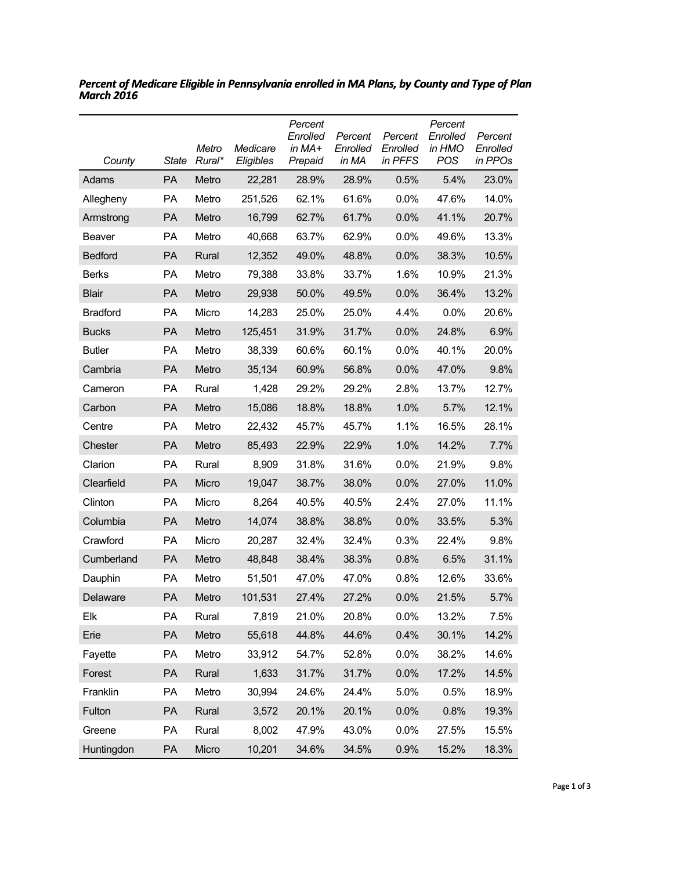| County          | <b>State</b> | Metro<br>Rural* | Medicare<br>Eligibles | Percent<br>Enrolled<br>in MA+<br>Prepaid | Percent<br>Enrolled<br>in MA | Percent<br>Enrolled<br>in PFFS | Percent<br>Enrolled<br>in HMO<br>POS | Percent<br>Enrolled<br>in PPOs |
|-----------------|--------------|-----------------|-----------------------|------------------------------------------|------------------------------|--------------------------------|--------------------------------------|--------------------------------|
| Adams           | <b>PA</b>    | Metro           | 22,281                | 28.9%                                    | 28.9%                        | 0.5%                           | 5.4%                                 | 23.0%                          |
| Allegheny       | PA           | Metro           | 251,526               | 62.1%                                    | 61.6%                        | 0.0%                           | 47.6%                                | 14.0%                          |
| Armstrong       | <b>PA</b>    | Metro           | 16,799                | 62.7%                                    | 61.7%                        | 0.0%                           | 41.1%                                | 20.7%                          |
| Beaver          | <b>PA</b>    | Metro           | 40,668                | 63.7%                                    | 62.9%                        | 0.0%                           | 49.6%                                | 13.3%                          |
| <b>Bedford</b>  | <b>PA</b>    | Rural           | 12,352                | 49.0%                                    | 48.8%                        | 0.0%                           | 38.3%                                | 10.5%                          |
| <b>Berks</b>    | <b>PA</b>    | Metro           | 79,388                | 33.8%                                    | 33.7%                        | 1.6%                           | 10.9%                                | 21.3%                          |
| <b>Blair</b>    | <b>PA</b>    | Metro           | 29,938                | 50.0%                                    | 49.5%                        | 0.0%                           | 36.4%                                | 13.2%                          |
| <b>Bradford</b> | <b>PA</b>    | Micro           | 14,283                | 25.0%                                    | 25.0%                        | 4.4%                           | 0.0%                                 | 20.6%                          |
| <b>Bucks</b>    | PA           | Metro           | 125,451               | 31.9%                                    | 31.7%                        | 0.0%                           | 24.8%                                | 6.9%                           |
| <b>Butler</b>   | <b>PA</b>    | Metro           | 38,339                | 60.6%                                    | 60.1%                        | 0.0%                           | 40.1%                                | 20.0%                          |
| Cambria         | <b>PA</b>    | Metro           | 35,134                | 60.9%                                    | 56.8%                        | 0.0%                           | 47.0%                                | 9.8%                           |
| Cameron         | PA           | Rural           | 1,428                 | 29.2%                                    | 29.2%                        | 2.8%                           | 13.7%                                | 12.7%                          |
| Carbon          | <b>PA</b>    | Metro           | 15,086                | 18.8%                                    | 18.8%                        | 1.0%                           | 5.7%                                 | 12.1%                          |
| Centre          | <b>PA</b>    | Metro           | 22,432                | 45.7%                                    | 45.7%                        | 1.1%                           | 16.5%                                | 28.1%                          |
| Chester         | <b>PA</b>    | Metro           | 85,493                | 22.9%                                    | 22.9%                        | 1.0%                           | 14.2%                                | 7.7%                           |
| Clarion         | <b>PA</b>    | Rural           | 8,909                 | 31.8%                                    | 31.6%                        | 0.0%                           | 21.9%                                | 9.8%                           |
| Clearfield      | <b>PA</b>    | Micro           | 19,047                | 38.7%                                    | 38.0%                        | 0.0%                           | 27.0%                                | 11.0%                          |
| Clinton         | <b>PA</b>    | Micro           | 8,264                 | 40.5%                                    | 40.5%                        | 2.4%                           | 27.0%                                | 11.1%                          |
| Columbia        | <b>PA</b>    | Metro           | 14,074                | 38.8%                                    | 38.8%                        | 0.0%                           | 33.5%                                | 5.3%                           |
| Crawford        | <b>PA</b>    | Micro           | 20,287                | 32.4%                                    | 32.4%                        | 0.3%                           | 22.4%                                | 9.8%                           |
| Cumberland      | <b>PA</b>    | Metro           | 48,848                | 38.4%                                    | 38.3%                        | 0.8%                           | 6.5%                                 | 31.1%                          |
| Dauphin         | <b>PA</b>    | Metro           | 51,501                | 47.0%                                    | 47.0%                        | 0.8%                           | 12.6%                                | 33.6%                          |
| Delaware        | <b>PA</b>    | Metro           | 101,531               | 27.4%                                    | 27.2%                        | 0.0%                           | 21.5%                                | 5.7%                           |
| Elk             | PA           | Rural           | 7,819                 | 21.0%                                    | 20.8%                        | 0.0%                           | 13.2%                                | 7.5%                           |
| Erie            | PA           | Metro           | 55,618                | 44.8%                                    | 44.6%                        | 0.4%                           | 30.1%                                | 14.2%                          |
| Fayette         | PA           | Metro           | 33,912                | 54.7%                                    | 52.8%                        | 0.0%                           | 38.2%                                | 14.6%                          |
| Forest          | PA           | Rural           | 1,633                 | 31.7%                                    | 31.7%                        | 0.0%                           | 17.2%                                | 14.5%                          |
| Franklin        | PA           | Metro           | 30,994                | 24.6%                                    | 24.4%                        | 5.0%                           | 0.5%                                 | 18.9%                          |
| Fulton          | PA           | Rural           | 3,572                 | 20.1%                                    | 20.1%                        | 0.0%                           | 0.8%                                 | 19.3%                          |
| Greene          | PA           | Rural           | 8,002                 | 47.9%                                    | 43.0%                        | 0.0%                           | 27.5%                                | 15.5%                          |
| Huntingdon      | PA           | Micro           | 10,201                | 34.6%                                    | 34.5%                        | 0.9%                           | 15.2%                                | 18.3%                          |

*Percent of Medicare Eligible in Pennsylvania enrolled in MA Plans, by County and Type of Plan March 2016*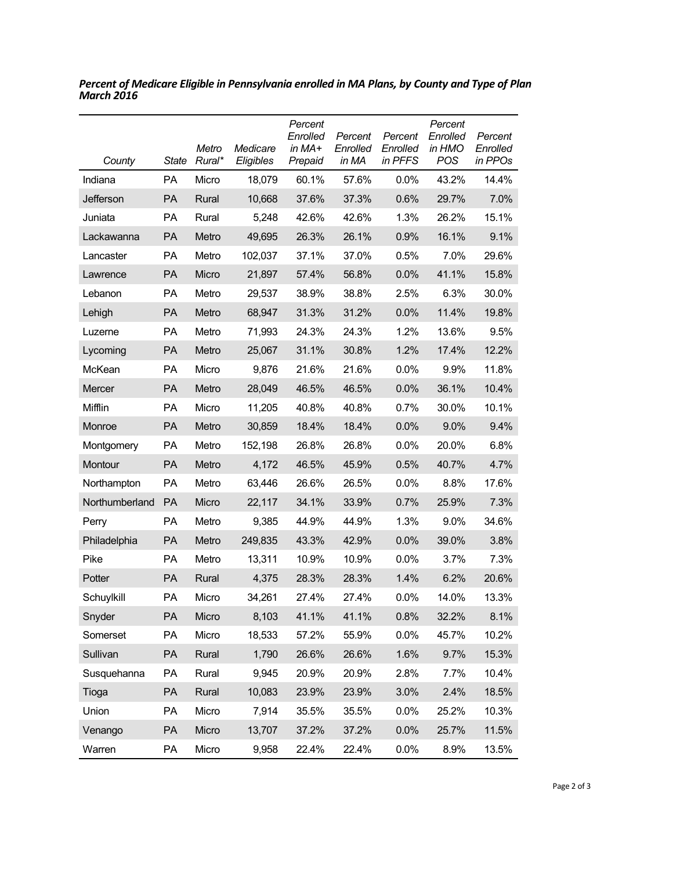| County         | State     | Metro<br>Rural* | Medicare<br>Eligibles | Percent<br>Enrolled<br>in MA+<br>Prepaid | Percent<br>Enrolled<br>in MA | Percent<br>Enrolled<br>in PFFS | Percent<br>Enrolled<br>in HMO<br><b>POS</b> | Percent<br>Enrolled<br>in PPOs |
|----------------|-----------|-----------------|-----------------------|------------------------------------------|------------------------------|--------------------------------|---------------------------------------------|--------------------------------|
| Indiana        | PA        | Micro           | 18,079                | 60.1%                                    | 57.6%                        | 0.0%                           | 43.2%                                       | 14.4%                          |
| Jefferson      | PA        | Rural           | 10,668                | 37.6%                                    | 37.3%                        | 0.6%                           | 29.7%                                       | 7.0%                           |
| Juniata        | <b>PA</b> | Rural           | 5,248                 | 42.6%                                    | 42.6%                        | 1.3%                           | 26.2%                                       | 15.1%                          |
| Lackawanna     | <b>PA</b> | Metro           | 49,695                | 26.3%                                    | 26.1%                        | 0.9%                           | 16.1%                                       | 9.1%                           |
| Lancaster      | <b>PA</b> | Metro           | 102,037               | 37.1%                                    | 37.0%                        | 0.5%                           | 7.0%                                        | 29.6%                          |
| Lawrence       | <b>PA</b> | Micro           | 21,897                | 57.4%                                    | 56.8%                        | 0.0%                           | 41.1%                                       | 15.8%                          |
| Lebanon        | <b>PA</b> | Metro           | 29,537                | 38.9%                                    | 38.8%                        | 2.5%                           | 6.3%                                        | 30.0%                          |
| Lehigh         | <b>PA</b> | Metro           | 68,947                | 31.3%                                    | 31.2%                        | 0.0%                           | 11.4%                                       | 19.8%                          |
| Luzerne        | <b>PA</b> | Metro           | 71,993                | 24.3%                                    | 24.3%                        | 1.2%                           | 13.6%                                       | 9.5%                           |
| Lycoming       | PA        | Metro           | 25,067                | 31.1%                                    | 30.8%                        | 1.2%                           | 17.4%                                       | 12.2%                          |
| McKean         | <b>PA</b> | Micro           | 9,876                 | 21.6%                                    | 21.6%                        | 0.0%                           | 9.9%                                        | 11.8%                          |
| Mercer         | <b>PA</b> | Metro           | 28,049                | 46.5%                                    | 46.5%                        | 0.0%                           | 36.1%                                       | 10.4%                          |
| Mifflin        | <b>PA</b> | Micro           | 11,205                | 40.8%                                    | 40.8%                        | 0.7%                           | 30.0%                                       | 10.1%                          |
| Monroe         | <b>PA</b> | Metro           | 30,859                | 18.4%                                    | 18.4%                        | 0.0%                           | 9.0%                                        | 9.4%                           |
| Montgomery     | <b>PA</b> | Metro           | 152,198               | 26.8%                                    | 26.8%                        | $0.0\%$                        | 20.0%                                       | 6.8%                           |
| Montour        | PA        | Metro           | 4,172                 | 46.5%                                    | 45.9%                        | 0.5%                           | 40.7%                                       | 4.7%                           |
| Northampton    | <b>PA</b> | Metro           | 63,446                | 26.6%                                    | 26.5%                        | $0.0\%$                        | 8.8%                                        | 17.6%                          |
| Northumberland | <b>PA</b> | Micro           | 22,117                | 34.1%                                    | 33.9%                        | 0.7%                           | 25.9%                                       | 7.3%                           |
| Perry          | <b>PA</b> | Metro           | 9,385                 | 44.9%                                    | 44.9%                        | 1.3%                           | 9.0%                                        | 34.6%                          |
| Philadelphia   | <b>PA</b> | Metro           | 249,835               | 43.3%                                    | 42.9%                        | 0.0%                           | 39.0%                                       | 3.8%                           |
| Pike           | <b>PA</b> | Metro           | 13,311                | 10.9%                                    | 10.9%                        | $0.0\%$                        | 3.7%                                        | 7.3%                           |
| Potter         | <b>PA</b> | Rural           | 4,375                 | 28.3%                                    | 28.3%                        | 1.4%                           | 6.2%                                        | 20.6%                          |
| Schuylkill     | PA        | Micro           | 34,261                | 27.4%                                    | 27.4%                        | $0.0\%$                        | 14.0%                                       | 13.3%                          |
| Snyder         | PA        | Micro           | 8,103                 | 41.1%                                    | 41.1%                        | 0.8%                           | 32.2%                                       | 8.1%                           |
| Somerset       | PA        | Micro           | 18,533                | 57.2%                                    | 55.9%                        | 0.0%                           | 45.7%                                       | 10.2%                          |
| Sullivan       | PA        | Rural           | 1,790                 | 26.6%                                    | 26.6%                        | 1.6%                           | 9.7%                                        | 15.3%                          |
| Susquehanna    | PA        | Rural           | 9,945                 | 20.9%                                    | 20.9%                        | 2.8%                           | 7.7%                                        | 10.4%                          |
| Tioga          | PA        | Rural           | 10,083                | 23.9%                                    | 23.9%                        | 3.0%                           | 2.4%                                        | 18.5%                          |
| Union          | PA        | Micro           | 7,914                 | 35.5%                                    | 35.5%                        | 0.0%                           | 25.2%                                       | 10.3%                          |
| Venango        | PA        | Micro           | 13,707                | 37.2%                                    | 37.2%                        | 0.0%                           | 25.7%                                       | 11.5%                          |
| Warren         | PA        | Micro           | 9,958                 | 22.4%                                    | 22.4%                        | 0.0%                           | 8.9%                                        | 13.5%                          |

*Percent of Medicare Eligible in Pennsylvania enrolled in MA Plans, by County and Type of Plan March 2016*